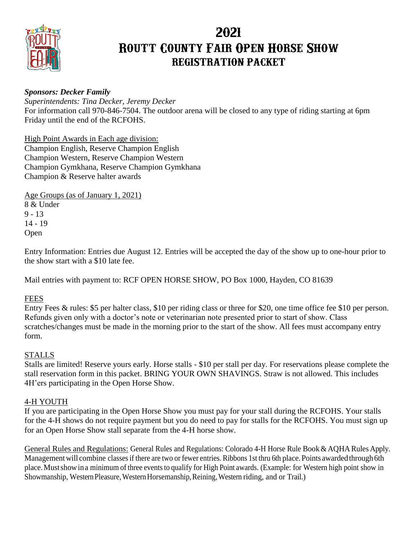

# **2021 Routt County Fair Open Horse Show REGISTRATION PACKET**

## *Sponsors: Decker Family*

*Superintendents: Tina Decker, Jeremy Decker* For information call 970-846-7504. The outdoor arena will be closed to any type of riding starting at 6pm Friday until the end of the RCFOHS.

High Point Awards in Each age division: Champion English, Reserve Champion English Champion Western, Reserve Champion Western Champion Gymkhana, Reserve Champion Gymkhana Champion & Reserve halter awards

Age Groups (as of January 1, 2021) 8 & Under  $9 - 13$ 14 - 19 Open

Entry Information: Entries due August 12. Entries will be accepted the day of the show up to one-hour prior to the show start with a \$10 late fee.

Mail entries with payment to: RCF OPEN HORSE SHOW, PO Box 1000, Hayden, CO 81639

## FEES

Entry Fees & rules: \$5 per halter class, \$10 per riding class or three for \$20, one time office fee \$10 per person. Refunds given only with a doctor's note or veterinarian note presented prior to start of show. Class scratches/changes must be made in the morning prior to the start of the show. All fees must accompany entry form.

## STALLS

Stalls are limited! Reserve yours early. Horse stalls - \$10 per stall per day. For reservations please complete the stall reservation form in this packet. BRING YOUR OWN SHAVINGS. Straw is not allowed. This includes 4H'ers participating in the Open Horse Show.

## 4-H YOUTH

If you are participating in the Open Horse Show you must pay for your stall during the RCFOHS. Your stalls for the 4-H shows do not require payment but you do need to pay for stalls for the RCFOHS. You must sign up for an Open Horse Show stall separate from the 4-H horse show.

General Rules and Regulations: General Rules and Regulations: Colorado 4-H Horse Rule Book & AQHA Rules Apply. Management will combine classes if there are two or fewer entries. Ribbons 1st thru 6th place. Points awarded through 6th place. Must show in a minimum of three events to qualify for High Point awards. (Example: for Western high point show in Showmanship, Western Pleasure, Western Horsemanship, Reining, Western riding, and or Trail.)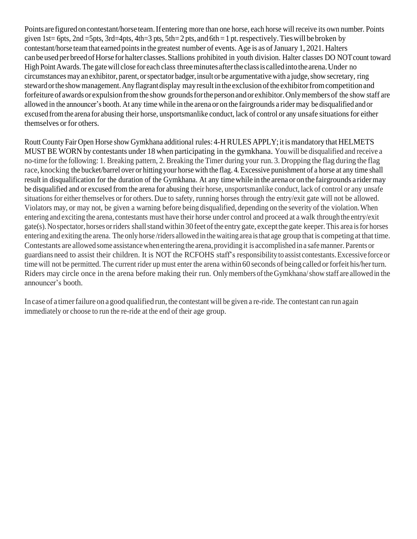Points are figured on contestant/horse team. If entering more than one horse, each horse will receive its own number. Points given 1st= 6pts, 2nd =5pts, 3rd=4pts, 4th=3 pts, 5th=2 pts, and 6th = 1 pt. respectively. Ties will be broken by contestant/horse team that earned points in the greatest number of events. Age is as of January 1, 2021. Halters can be used per breed of Horse for halter classes. Stallions prohibited in youth division. Halter classes DO NOT count toward High Point Awards. The gate will close for each class three minutes after the class is called into the arena. Under no circumstances may an exhibitor, parent, orspectator badger,insult or be argumentativewith a judge,show secretary, ring steward orthe showmanagement.Anyflagrantdisplay mayresultinthe exclusionofthe exhibitorfromcompetitionand forfeiture of awards or expulsion from the show grounds for the person and or exhibitor. Only members of the show staff are allowed in the announcer's booth. At any timewhile in the arena or on the fairgrounds a ridermay be disqualified and or excused from the arena for abusing their horse, unsportsmanlike conduct, lack of control or any unsafe situations for either themselves or for others.

Routt County Fair Open Horse show Gymkhana additional rules: 4-H RULES APPLY; it is mandatory that HELMETS MUST BE WORN by contestants under 18 when participating in the gymkhana. Youwill be disqualified and receive a no-time for the following: 1. Breaking pattern, 2. Breaking the Timer during your run. 3. Dropping the flag during the flag race, knocking the bucket/barrel over or hitting your horse with the flag. 4. Excessive punishment of a horse at any time shall result in disqualification for the duration of the Gymkhana. At any timewhile in the arenaor on the fairgrounds a ridermay be disqualified and or excused from the arena for abusing their horse, unsportsmanlike conduct, lack of control or any unsafe situations for either themselves or for others. Due to safety, running horses through the entry/exit gate will not be allowed. Violators may, or may not, be given a warning before being disqualified, depending on the severity of the violation.When entering and exciting the arena, contestants must have their horse under control and proceed at a walk throughthe entry/exit gate(s).Nospectator,horses orriders shallstandwithin30feetofthe entry gate, exceptthe gate keeper.This area isfor horses entering and exiting the arena. The only horse /riders allowed in thewaiting area isthat age group that is competing at that time. Contestants are allowed some assistance when entering the arena, providing it is accomplished in a safemanner. Parents or guardians need to assist their children. It is NOT the RCFOHS staff's responsibility to assist contestants.Excessive force or time will not be permitted. The current rider up must enter the arena within 60 seconds of being called or forfeit his/her turn. Riders may circle once in the arena before making their run. Only members of the Gymkhana/show staff are allowed in the announcer's booth.

In case of a timer failure on a good qualified run, the contestant will be given a re-ride. The contestant can run again immediately or choose to run the re-ride at the end of their age group.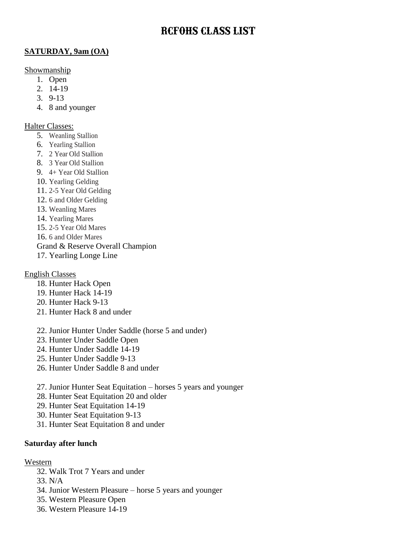## **RCFOHS CLASS LIST**

## **SATURDAY, 9am (OA)**

#### Showmanship

- 1. Open
- 2. 14-19
- 3. 9-13
- 4. 8 and younger

#### Halter Classes:

- 5. Weanling Stallion
- 6. Yearling Stallion
- 7. 2 Year Old Stallion
- 8. 3 Year Old Stallion
- 9. 4+ Year Old Stallion
- 10. Yearling Gelding
- 11. 2-5 Year Old Gelding
- 12. 6 and Older Gelding
- 13. Weanling Mares
- 14. Yearling Mares
- 15. 2-5 Year Old Mares
- 16. 6 and Older Mares
- Grand & Reserve Overall Champion
- 17. Yearling Longe Line

#### English Classes

- 18. Hunter Hack Open
- 19. Hunter Hack 14-19
- 20. Hunter Hack 9-13
- 21. Hunter Hack 8 and under
- 22. Junior Hunter Under Saddle (horse 5 and under)
- 23. Hunter Under Saddle Open
- 24. Hunter Under Saddle 14-19
- 25. Hunter Under Saddle 9-13
- 26. Hunter Under Saddle 8 and under
- 27. Junior Hunter Seat Equitation horses 5 years and younger
- 28. Hunter Seat Equitation 20 and older
- 29. Hunter Seat Equitation 14-19
- 30. Hunter Seat Equitation 9-13
- 31. Hunter Seat Equitation 8 and under

#### **Saturday after lunch**

#### Western

- 32. Walk Trot 7 Years and under
- 33. N/A
- 34. Junior Western Pleasure horse 5 years and younger
- 35. Western Pleasure Open
- 36. Western Pleasure 14-19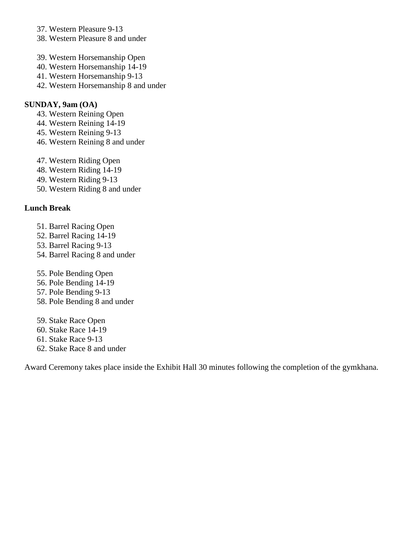- 37. Western Pleasure 9-13
- 38. Western Pleasure 8 and under
- 39. Western Horsemanship Open
- 40. Western Horsemanship 14-19
- 41. Western Horsemanship 9-13
- 42. Western Horsemanship 8 and under

#### **SUNDAY, 9am (OA)**

- 43. Western Reining Open
- 44. Western Reining 14-19
- 45. Western Reining 9-13
- 46. Western Reining 8 and under
- 47. Western Riding Open
- 48. Western Riding 14-19
- 49. Western Riding 9-13
- 50. Western Riding 8 and under

## **Lunch Break**

- 51. Barrel Racing Open
- 52. Barrel Racing 14-19
- 53. Barrel Racing 9-13
- 54. Barrel Racing 8 and under
- 55. Pole Bending Open
- 56. Pole Bending 14-19
- 57. Pole Bending 9-13
- 58. Pole Bending 8 and under
- 59. Stake Race Open
- 60. Stake Race 14-19
- 61. Stake Race 9-13
- 62. Stake Race 8 and under

Award Ceremony takes place inside the Exhibit Hall 30 minutes following the completion of the gymkhana.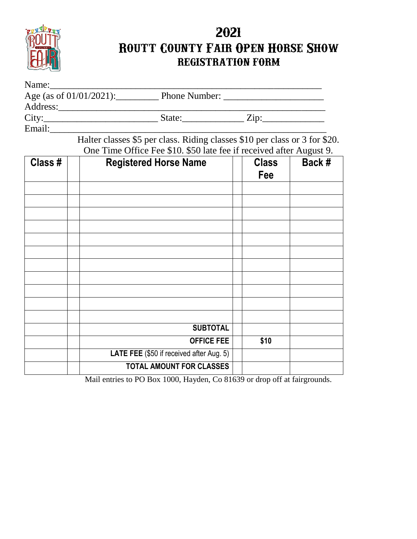

# **2021 Routt County Fair Open Horse Show REGISTRATION FORM**

| Name:                      |                      |                    |
|----------------------------|----------------------|--------------------|
| Age (as of $01/01/2021$ ): | <b>Phone Number:</b> |                    |
| Address:                   |                      |                    |
| City:                      | State:               | $\overline{Lip}$ : |
| Email:                     |                      |                    |

Halter classes \$5 per class. Riding classes \$10 per class or 3 for \$20. One Time Office Fee \$10. \$50 late fee if received after August 9.

| Class # | $\frac{1}{2}$ and $\frac{1}{2}$ are $\frac{1}{2}$ and $\frac{1}{2}$ and $\frac{1}{2}$ are $\frac{1}{2}$ and $\frac{1}{2}$ and $\frac{1}{2}$ .<br><b>Registered Horse Name</b> | <b>Class</b><br>Fee | Back # |
|---------|-------------------------------------------------------------------------------------------------------------------------------------------------------------------------------|---------------------|--------|
|         |                                                                                                                                                                               |                     |        |
|         |                                                                                                                                                                               |                     |        |
|         |                                                                                                                                                                               |                     |        |
|         |                                                                                                                                                                               |                     |        |
|         |                                                                                                                                                                               |                     |        |
|         |                                                                                                                                                                               |                     |        |
|         |                                                                                                                                                                               |                     |        |
|         |                                                                                                                                                                               |                     |        |
|         |                                                                                                                                                                               |                     |        |
|         |                                                                                                                                                                               |                     |        |
|         |                                                                                                                                                                               |                     |        |
|         | <b>SUBTOTAL</b>                                                                                                                                                               |                     |        |
|         | <b>OFFICE FEE</b>                                                                                                                                                             | \$10                |        |
|         | LATE FEE (\$50 if received after Aug. 5)                                                                                                                                      |                     |        |
|         | TOTAL AMOUNT FOR CLASSES                                                                                                                                                      |                     |        |

Mail entries to PO Box 1000, Hayden, Co 81639 or drop off at fairgrounds.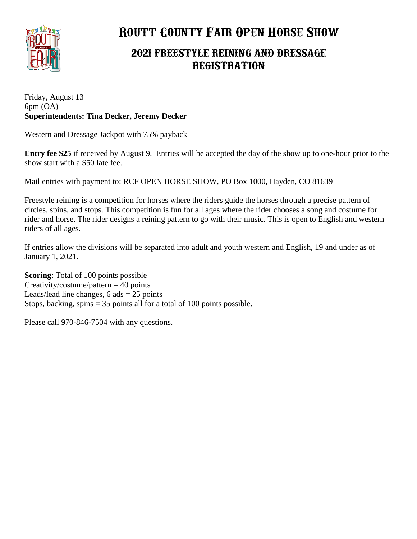

# **Routt County Fair Open Horse Show**

# **2021 FREESTYLE REINING AND DRESSAGE REGISTRATION**

Friday, August 13 6pm (OA) **Superintendents: Tina Decker, Jeremy Decker**

Western and Dressage Jackpot with 75% payback

**Entry fee \$25** if received by August 9. Entries will be accepted the day of the show up to one-hour prior to the show start with a \$50 late fee.

Mail entries with payment to: RCF OPEN HORSE SHOW, PO Box 1000, Hayden, CO 81639

Freestyle reining is a competition for horses where the riders guide the horses through a precise pattern of circles, spins, and stops. This competition is fun for all ages where the rider chooses a song and costume for rider and horse. The rider designs a reining pattern to go with their music. This is open to English and western riders of all ages.

If entries allow the divisions will be separated into adult and youth western and English, 19 and under as of January 1, 2021.

**Scoring**: Total of 100 points possible Creativity/costume/pattern  $= 40$  points Leads/lead line changes,  $6$  ads  $= 25$  points Stops, backing, spins  $= 35$  points all for a total of 100 points possible.

Please call 970-846-7504 with any questions.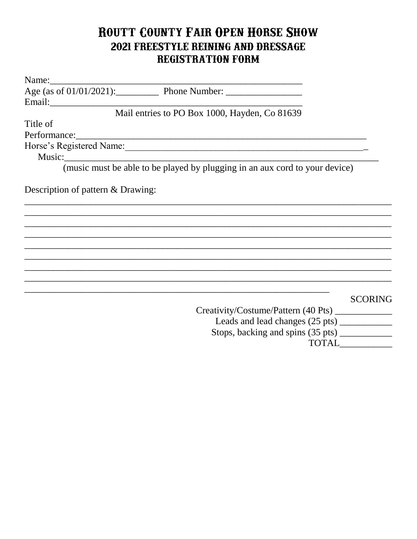# ROUTT COUNTY FAIR OPEN HORSE SHOW 2021 FREESTYLE REINING AND DRESSAGE REGISTRATION FORM

|                                   | Age (as of $01/01/2021$ ): Phone Number:                                    |                |
|-----------------------------------|-----------------------------------------------------------------------------|----------------|
|                                   |                                                                             |                |
|                                   | Mail entries to PO Box 1000, Hayden, Co 81639                               |                |
| Title of                          |                                                                             |                |
|                                   | Performance:                                                                |                |
|                                   |                                                                             |                |
|                                   |                                                                             |                |
|                                   | (music must be able to be played by plugging in an aux cord to your device) |                |
| Description of pattern & Drawing: |                                                                             |                |
|                                   |                                                                             |                |
|                                   |                                                                             |                |
|                                   |                                                                             |                |
|                                   |                                                                             |                |
|                                   |                                                                             |                |
|                                   |                                                                             |                |
|                                   |                                                                             |                |
|                                   |                                                                             |                |
|                                   |                                                                             | <b>SCORING</b> |
|                                   | Creativity/Costume/Pattern (40 Pts)                                         |                |
|                                   | Leads and lead changes (25 pts) __________                                  |                |
|                                   | Stops, backing and spins (35 pts) _________                                 |                |
|                                   |                                                                             | <b>TOTAL</b>   |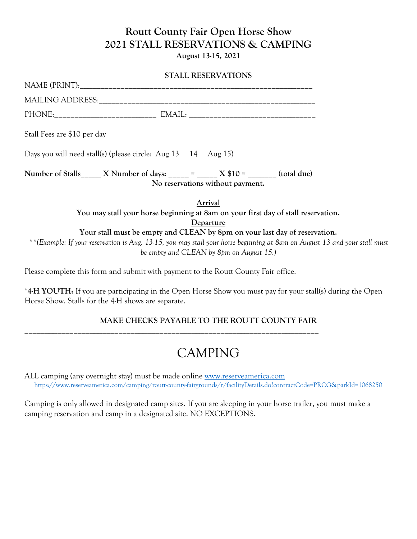# **Routt County Fair Open Horse Show 2021 STALL RESERVATIONS & CAMPING**

**August 13-15, 2021**

#### **STALL RESERVATIONS**

| NAME (PRINT):           |        |
|-------------------------|--------|
| <b>MAILING ADDRESS:</b> |        |
| PHONE:                  | EMAIL: |

Stall Fees are \$10 per day

Days you will need stall(s) (please circle: Aug 13 14 Aug 15)

**Number of Stalls\_\_\_\_\_ X Number of days: \_\_\_\_\_ = \_\_\_\_\_ X \$10 = \_\_\_\_\_\_\_ (total due) No reservations without payment.**

> **Arrival You may stall your horse beginning at 8am on your first day of stall reservation. Departure Your stall must be empty and CLEAN by 8pm on your last day of reservation.**

*\*\*(Example: If your reservation is Aug. 13-15, you may stall your horse beginning at 8am on August 13 and your stall must be empty and CLEAN by 8pm on August 15.)*

Please complete this form and submit with payment to the Routt County Fair office.

**\_\_\_\_\_\_\_\_\_\_\_\_\_\_\_\_\_\_\_\_\_\_\_\_\_\_\_\_\_\_\_\_\_\_\_\_\_\_\_\_\_\_\_\_\_\_\_\_\_\_\_\_\_\_\_\_\_\_\_\_\_\_\_\_\_\_\_\_\_\_\_\_**

**\*4-H YOUTH:** If you are participating in the Open Horse Show you must pay for your stall(s) during the Open Horse Show. Stalls for the 4-H shows are separate.

## **MAKE CHECKS PAYABLE TO THE ROUTT COUNTY FAIR**

# CAMPING

ALL camping (any overnight stay) must be made online [www.reserveamerica.com](http://www.reserveamerica.com/) <https://www.reserveamerica.com/camping/routt-county-fairgrounds/r/facilityDetails.do?contractCode=PRCG&parkId=1068250>

Camping is only allowed in designated camp sites. If you are sleeping in your horse trailer, you must make a camping reservation and camp in a designated site. NO EXCEPTIONS.